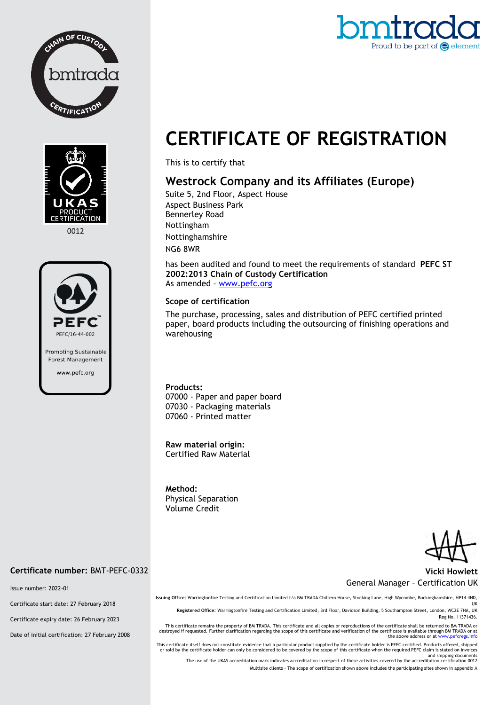



0012



## omtra Proud to be part of  $\bigodot$  elemes

# **CERTIFICATE OF REGISTRATION**

This is to certify that

### **Westrock Company and its Affiliates (Europe)**

Suite 5, 2nd Floor, Aspect House Aspect Business Park Bennerley Road Nottingham Nottinghamshire NG6 8WR

has been audited and found to meet the requirements of standard **PEFC ST 2002:2013 Chain of Custody Certification** As amended – [www.pefc.org](http://www.pefc.org/)

#### **Scope of certification**

The purchase, processing, sales and distribution of PEFC certified printed paper, board products including the outsourcing of finishing operations and warehousing

**Products:** 07000 - Paper and paper board 07030 - Packaging materials 07060 - Printed matter

**Raw material origin:** Certified Raw Material

**Method:**  Physical Separation Volume Credit

#### **Vicki Howlett** General Manager – Certification UK

**Issuing Office:** Warringtonfire Testing and Certification Limited t/a BM TRADA Chiltern House, Stocking Lane, High Wycombe, Buckinghamshire, HP14 4ND, UK

**Registered Office:** Warringtonfire Testing and Certification Limited, 3rd Floor, Davidson Building, 5 Southampton Street, London, WC2E 7HA, UK Reg No. 11371436.

This certificate remains the property of BM TRADA. This certificate and all copies or reproductions of the certificate shall be returned to BM TRADA or<br>destroyed if requested. Further clarification regarding the scope of t

This certificate itself does not constitute evidence that a particular product supplied by the certificate holder is PEFC certified. Products offered, shipped<br>or sold by the certificate holder can only be considered to be

and shipping documents<br>The use of the UKAS accreditation mark indicates accreditation in respect of those activities covered by the accreditation certification 0012

Multisite clients – The scope of certification shown above includes the participating sites shown in appendix A

#### **Certificate number:** BMT-PEFC-0332

Issue number: 2022-01

Certificate start date: 27 February 2018

Certificate expiry date: 26 February 2023

Date of initial certification: 27 February 2008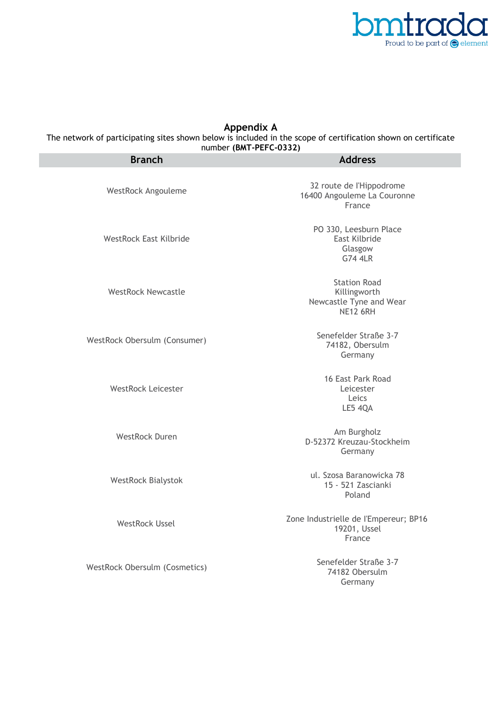

### **Appendix A**

The network of participating sites shown below is included in the scope of certification shown on certificate

| <b>Branch</b>                 | <b>Address</b>                                                                    |
|-------------------------------|-----------------------------------------------------------------------------------|
| WestRock Angouleme            | 32 route de l'Hippodrome<br>16400 Angouleme La Couronne<br>France                 |
| <b>WestRock East Kilbride</b> | PO 330, Leesburn Place<br>East Kilbride<br>Glasgow<br><b>G74 4LR</b>              |
| <b>WestRock Newcastle</b>     | <b>Station Road</b><br>Killingworth<br>Newcastle Tyne and Wear<br><b>NE12 6RH</b> |
| WestRock Obersulm (Consumer)  | Senefelder Straße 3-7<br>74182, Obersulm<br>Germany                               |
| <b>WestRock Leicester</b>     | 16 East Park Road<br>Leicester<br>Leics<br>LE5 4QA                                |
| <b>WestRock Duren</b>         | Am Burgholz<br>D-52372 Kreuzau-Stockheim<br>Germany                               |
| <b>WestRock Bialystok</b>     | ul. Szosa Baranowicka 78<br>15 - 521 Zascianki<br>Poland                          |
| <b>WestRock Ussel</b>         | Zone Industrielle de l'Empereur; BP16<br>19201, Ussel<br>France                   |
| WestRock Obersulm (Cosmetics) | Senefelder Straße 3-7<br>74182 Obersulm<br>Germany                                |
|                               |                                                                                   |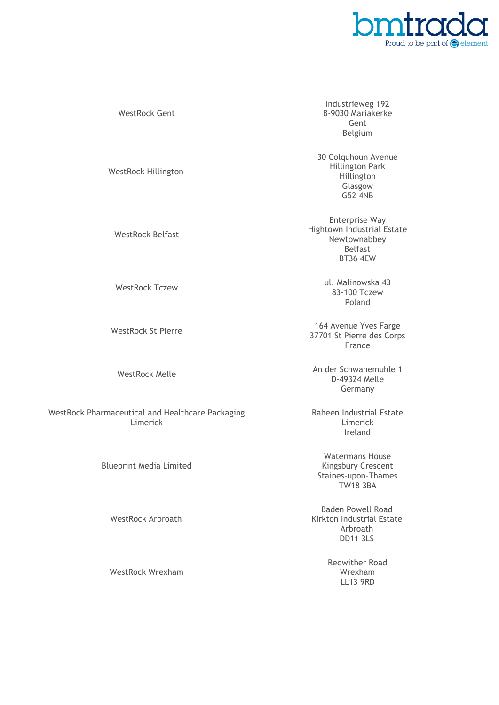

WestRock Hillington WestRock Belfast

WestRock Gent

WestRock Pharmaceutical and Healthcare Packaging Limerick

Blueprint Media Limited

WestRock Arbroath

WestRock Wrexham

Industrieweg 192 B-9030 Mariakerke Gent Belgium

30 Colquhoun Avenue Hillington Park Hillington Glasgow G52 4NB

Enterprise Way Hightown Industrial Estate Newtownabbey Belfast BT36 4EW

WestRock Tczew 1999 ul. Malinowska 43 83-100 Tczew Poland

WestRock St Pierre 164 Avenue Yves Farge 37701 St Pierre des Corps France

WestRock Melle An der Schwanemuhle 1 D-49324 Melle Germany

> Raheen Industrial Estate Limerick Ireland

Watermans House Kingsbury Crescent Staines-upon-Thames TW18 3BA

Baden Powell Road Kirkton Industrial Estate Arbroath DD11 3LS

> Redwither Road Wrexham LL13 9RD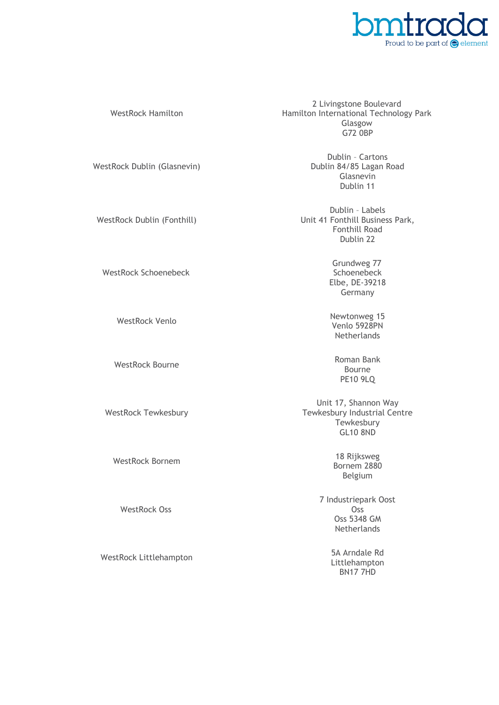

## G72 0BP WestRock Dublin (Glasnevin) Glasnevin Dublin 11 WestRock Dublin (Fonthill)

WestRock Schoenebeck

WestRock Hamilton

WestRock Tewkesbury

WestRock Oss

WestRock Littlehampton 5A Arndale Rd

2 Livingstone Boulevard Hamilton International Technology Park Glasgow

> Dublin – Cartons Dublin 84/85 Lagan Road

Dublin – Labels Unit 41 Fonthill Business Park, Fonthill Road Dublin 22

> Grundweg 77 **Schoenebeck** Elbe, DE-39218 Germany

WestRock Venlo<br>Newtonweg 15 Venlo 5928PN Netherlands

WestRock Bourne **Roman Bank** Bourne PE10 9LQ

> Unit 17, Shannon Way Tewkesbury Industrial Centre **Tewkesbury** GL10 8ND

WestRock Bornem 18 Rijksweg Bornem 2880 Belgium

> 7 Industriepark Oost Oss Oss 5348 GM **Netherlands**

> > Littlehampton BN17 7HD